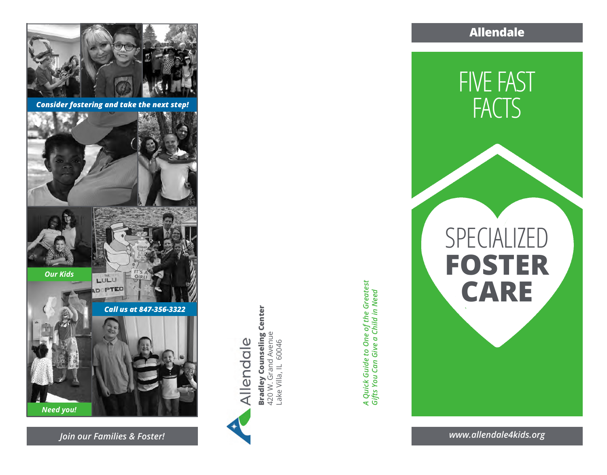

*Consider fostering and take the next step!*



Bradley Counseling Center<br>420 W. Grand Avenue<br>Lake Villa, IL 60046 **Bradley Counseling Center** 420 W. Grand Avenue llendale

Lake Villa, IL 60046

*A Quick Guide to One of the Greatest*  A Quick Guide to One of the Greatest<br>Gifts You Can Give a Child in Need *Gifts You Can Give a Child in Need* **Allendale**



*www.allendale4kids.org*

*Join our Families & Foster!*

*Need you!*